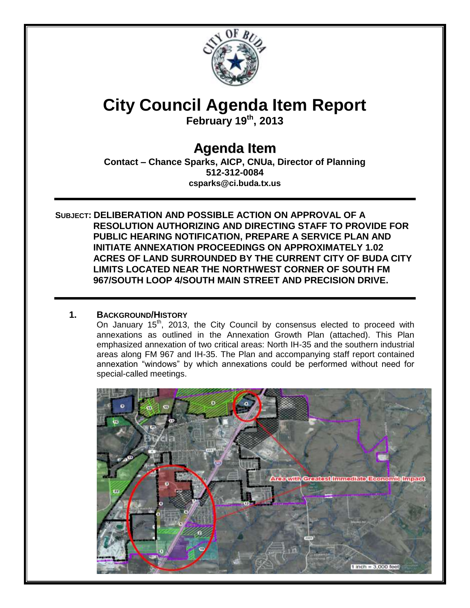

# **City Council Agenda Item Report**

**February 19th, 2013**

# **Agenda Item**

**Contact – Chance Sparks, AICP, CNUa, Director of Planning 512-312-0084 csparks@ci.buda.tx.us**

**SUBJECT: DELIBERATION AND POSSIBLE ACTION ON APPROVAL OF A RESOLUTION AUTHORIZING AND DIRECTING STAFF TO PROVIDE FOR PUBLIC HEARING NOTIFICATION, PREPARE A SERVICE PLAN AND INITIATE ANNEXATION PROCEEDINGS ON APPROXIMATELY 1.02 ACRES OF LAND SURROUNDED BY THE CURRENT CITY OF BUDA CITY LIMITS LOCATED NEAR THE NORTHWEST CORNER OF SOUTH FM 967/SOUTH LOOP 4/SOUTH MAIN STREET AND PRECISION DRIVE.**

## **1. BACKGROUND/HISTORY**

On January  $15<sup>th</sup>$ , 2013, the City Council by consensus elected to proceed with annexations as outlined in the Annexation Growth Plan (attached). This Plan emphasized annexation of two critical areas: North IH-35 and the southern industrial areas along FM 967 and IH-35. The Plan and accompanying staff report contained annexation "windows" by which annexations could be performed without need for special-called meetings.